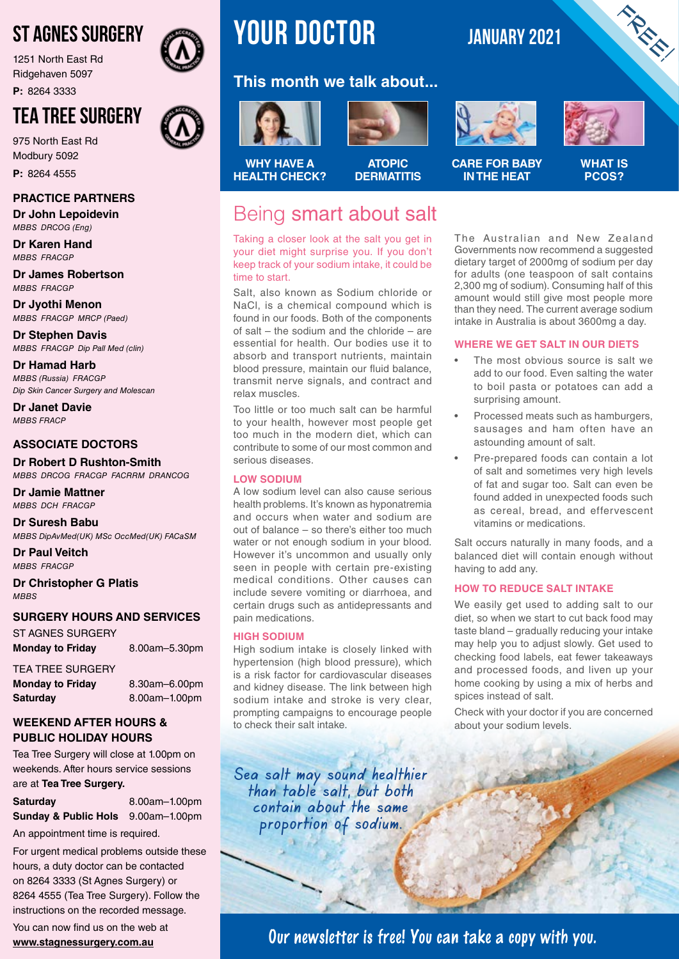# ST AGNES SURGERY

1251 North East Rd Ridgehaven 5097

**P:** 8264 3333

# TEA TREE SURGERY

975 North East Rd Modbury 5092 **P:** 8264 4555

### **PRACTICE PARTNERS**

**Dr John Lepoidevin** *MBBS DRCOG (Eng)*

**Dr Karen Hand** *MBBS FRACGP*

**Dr James Robertson** *MBBS FRACGP*

**Dr Jyothi Menon** *MBBS FRACGP MRCP (Paed)*

**Dr Stephen Davis** *MBBS FRACGP Dip Pall Med (clin)*

**Dr Hamad Harb** *MBBS (Russia) FRACGP Dip Skin Cancer Surgery and Molescan*

**Dr Janet Davie** *MBBS FRACP*

### **ASSOCIATE DOCTORS**

**Dr Robert D Rushton-Smith**  *MBBS DRCOG FRACGP FACRRM DRANCOG*

**Dr Jamie Mattner** *MBBS DCH FRACGP*

**Dr Suresh Babu** *MBBS DipAvMed(UK) MSc OccMed(UK) FACaSM*

**Dr Paul Veitch** *MBBS FRACGP*

**Dr Christopher G Platis** *MBBS*

### **SURGERY HOURS AND SERVICES**

ST AGNES SURGERY Monday to Friday 8.00am-5.30pm

TEA TREE SURGERY **Monday to Friday** 8.30am–6.00pm **Saturday** 8.00am–1.00pm

### **WEEKEND AFTER HOURS & PUBLIC HOLIDAY HOURS**

Tea Tree Surgery will close at 1.00pm on weekends. After hours service sessions are at **Tea Tree Surgery.**

**Saturday** 8.00am–1.00pm **Sunday & Public Hols** 9.00am-1.00pm

An appointment time is required.

For urgent medical problems outside these hours, a duty doctor can be contacted on 8264 3333 (St Agnes Surgery) or 8264 4555 (Tea Tree Surgery). Follow the instructions on the recorded message.

You can now find us on the web at **www.stagnessurgery.com.au**

# **YOUR doctor JANUARY 2021**

## **This month we talk about...**





**WHY HAVE A HEALTH CHECK?**

### **ATOPIC DERMATITIS**

# Being smart about salt

Taking a closer look at the salt you get in your diet might surprise you. If you don't keep track of your sodium intake, it could be time to start.

Salt, also known as Sodium chloride or NaCl, is a chemical compound which is found in our foods. Both of the components of salt – the sodium and the chloride – are essential for health. Our bodies use it to absorb and transport nutrients, maintain blood pressure, maintain our fluid balance, transmit nerve signals, and contract and relax muscles.

Too little or too much salt can be harmful to your health, however most people get too much in the modern diet, which can contribute to some of our most common and serious diseases.

### **LOW SODIUM**

A low sodium level can also cause serious health problems. It's known as hyponatremia and occurs when water and sodium are out of balance – so there's either too much water or not enough sodium in your blood. However it's uncommon and usually only seen in people with certain pre-existing medical conditions. Other causes can include severe vomiting or diarrhoea, and certain drugs such as antidepressants and pain medications.

### **HIGH SODIUM**

High sodium intake is closely linked with hypertension (high blood pressure), which is a risk factor for cardiovascular diseases and kidney disease. The link between high sodium intake and stroke is very clear, prompting campaigns to encourage people to check their salt intake.

Sea salt may sound healthier than table salt, but both contain about the same proportion of sodium.





FREE!

**CARE FOR BABY IN THE HEAT**

**WHAT IS PCOS?**

The Australian and New Zealand Governments now recommend a suggested dietary target of 2000mg of sodium per day for adults (one teaspoon of salt contains 2,300 mg of sodium). Consuming half of this amount would still give most people more than they need. The current average sodium intake in Australia is about 3600mg a day.

### **WHERE WE GET SALT IN OUR DIETS**

- The most obvious source is salt we add to our food. Even salting the water to boil pasta or potatoes can add a surprising amount.
- Processed meats such as hamburgers, sausages and ham often have an astounding amount of salt.
- Pre-prepared foods can contain a lot of salt and sometimes very high levels of fat and sugar too. Salt can even be found added in unexpected foods such as cereal, bread, and effervescent vitamins or medications.

Salt occurs naturally in many foods, and a balanced diet will contain enough without having to add any.

### **HOW TO REDUCE SALT INTAKE**

We easily get used to adding salt to our diet, so when we start to cut back food may taste bland – gradually reducing your intake may help you to adjust slowly. Get used to checking food labels, eat fewer takeaways and processed foods, and liven up your home cooking by using a mix of herbs and spices instead of salt.

Check with your doctor if you are concerned about your sodium levels.

**Our newsletter is free! You can take a copy with you.**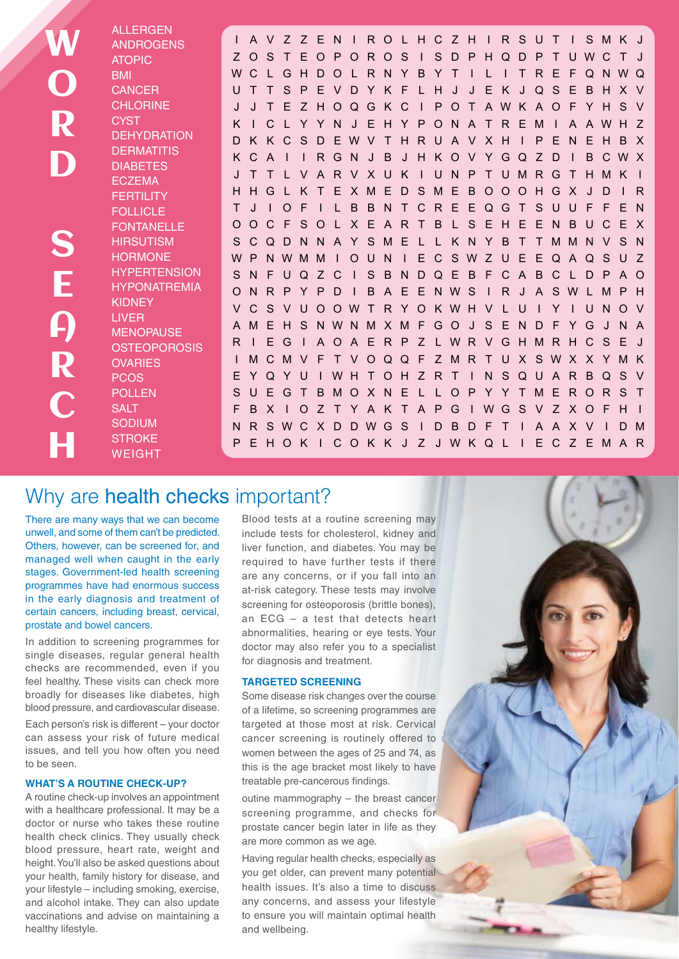W O R D S E A R C H

ALLERGEN ANDROGENS ATOPIC **BMI CANCER CHLORINE CYST DEHYDRATION DERMATITIS** DIABETES **ECZEMA FERTILITY** FOLLICLE **FONTANELLE HIRSUTISM HORMONE HYPERTENSION** HYPONATREMIA KIDNEY LIVER **MENOPAUSE OSTEOPOROSIS OVARIES** PCOS POLLEN **SALT** SODIUM **STROKE** WEIGHT

I AVZ ZEN I ROLHCZH I RSUT I SMK J Z OS T EOPOROS I S D P HQD P T UWC T J WC L GH DO L R N Y B Y T I L I T R E F QNWQ UTTSPEVDYKF LH J J EK JQSEBHXV J J T E Z HOQGKC I POT AWK AOF YHS V K I C L Y Y N J E H Y PON A T R EM I A AWH Z DK KCSDEWV T HRUA V XH I P ENEHB X K C A I I RGN J B J H KOV YGQ Z D I B CWX J T T L VARVXUK I UNP TUMRGTHMK I HHGL K T EXMEDSMEBOOOHGX J D I R T J I OF I L BBNTCREEQGT SUUF F EN OOCF SOL XEART B L SEHEENBUCEX S CQDNN A Y SME L L K N Y B T TMMN V S N WP NWMM I O U N I E C SWZ U E E Q A Q S U Z SNFUQZC I SBNDQEBFCABCLDPAO ONR P Y P D I B A E E NWS I R J A SWL MP H V C S V UOOWT R Y O KWH V L U I Y I U NO V AME H S NWNMXMF GO J S E ND F YG J N A R I E G I A O A E R P Z L W R V G H M R H C S E I MCMV F T VOQQF ZMR T UX SWX X YMK E YQY U I WH T OH Z R T I N SQU A R BQS V SUEGT BMOXNE L L OP Y Y TMERORS T F B X I O Z T Y A K T A P G I WG S V Z X O F H I N R SWC X D DWG S I D B D F T I A A X V I DM P EHOK I COK K J Z JWKQ L I EC Z EMAR

# Why are health checks important?

There are many ways that we can become unwell, and some of them can't be predicted. Others, however, can be screened for, and managed well when caught in the early stages. Government-led health screening programmes have had enormous success in the early diagnosis and treatment of certain cancers, including breast, cervical, prostate and bowel cancers.

In addition to screening programmes for single diseases, regular general health checks are recommended, even if you feel healthy. These visits can check more broadly for diseases like diabetes, high blood pressure, and cardiovascular disease. Each person's risk is different – your doctor can assess your risk of future medical

issues, and tell you how often you need to be seen.

### **WHAT'S A ROUTINE CHECK-UP?**

A routine check-up involves an appointment with a healthcare professional. It may be a doctor or nurse who takes these routine health check clinics. They usually check blood pressure, heart rate, weight and height. You'll also be asked questions about your health, family history for disease, and your lifestyle – including smoking, exercise, and alcohol intake. They can also update vaccinations and advise on maintaining a healthy lifestyle.

Blood tests at a routine screening may include tests for cholesterol, kidney and liver function, and diabetes. You may be required to have further tests if there are any concerns, or if you fall into an at-risk category. These tests may involve screening for osteoporosis (brittle bones), an ECG – a test that detects heart abnormalities, hearing or eye tests. Your doctor may also refer you to a specialist for diagnosis and treatment.

### **TARGETED SCREENING**

Some disease risk changes over the course of a lifetime, so screening programmes are targeted at those most at risk. Cervical cancer screening is routinely offered to women between the ages of 25 and 74, as this is the age bracket most likely to have treatable pre-cancerous findings.

outine mammography – the breast cancer screening programme, and checks for prostate cancer begin later in life as they are more common as we age.

Having regular health checks, especially as you get older, can prevent many potential health issues. It's also a time to discuss any concerns, and assess your lifestyle to ensure you will maintain optimal health and wellbeing.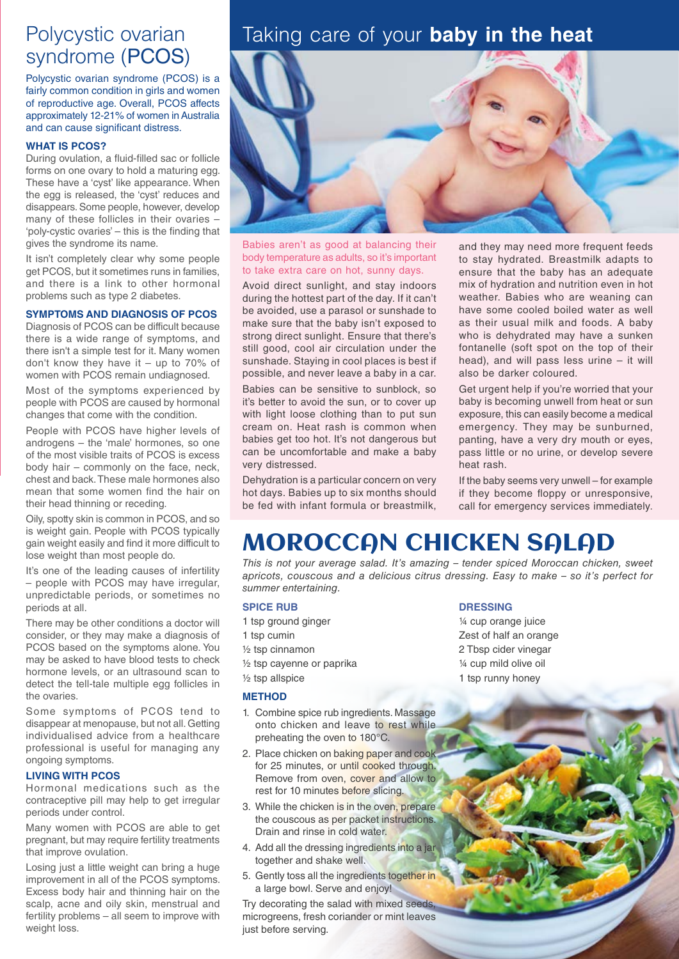# Polycystic ovarian syndrome (PCOS)

Polycystic ovarian syndrome (PCOS) is a fairly common condition in girls and women of reproductive age. Overall, PCOS affects approximately 12-21% of women in Australia and can cause significant distress.

### **WHAT IS PCOS?**

During ovulation, a fluid-filled sac or follicle forms on one ovary to hold a maturing egg. These have a 'cyst' like appearance. When the egg is released, the 'cyst' reduces and disappears. Some people, however, develop many of these follicles in their ovaries – 'poly-cystic ovaries' – this is the finding that gives the syndrome its name.

It isn't completely clear why some people get PCOS, but it sometimes runs in families, and there is a link to other hormonal problems such as type 2 diabetes.

### **SYMPTOMS AND DIAGNOSIS OF PCOS**

Diagnosis of PCOS can be difficult because there is a wide range of symptoms, and there isn't a simple test for it. Many women don't know they have it – up to 70% of women with PCOS remain undiagnosed.

Most of the symptoms experienced by people with PCOS are caused by hormonal changes that come with the condition.

People with PCOS have higher levels of androgens – the 'male' hormones, so one of the most visible traits of PCOS is excess body hair – commonly on the face, neck, chest and back. These male hormones also mean that some women find the hair on their head thinning or receding.

Oily, spotty skin is common in PCOS, and so is weight gain. People with PCOS typically gain weight easily and find it more difficult to lose weight than most people do.

It's one of the leading causes of infertility – people with PCOS may have irregular, unpredictable periods, or sometimes no periods at all.

There may be other conditions a doctor will consider, or they may make a diagnosis of PCOS based on the symptoms alone. You may be asked to have blood tests to check hormone levels, or an ultrasound scan to detect the tell-tale multiple egg follicles in the ovaries.

Some symptoms of PCOS tend to disappear at menopause, but not all. Getting individualised advice from a healthcare professional is useful for managing any ongoing symptoms.

### **LIVING WITH PCOS**

Hormonal medications such as the contraceptive pill may help to get irregular periods under control.

Many women with PCOS are able to get pregnant, but may require fertility treatments that improve ovulation.

Losing just a little weight can bring a huge improvement in all of the PCOS symptoms. Excess body hair and thinning hair on the scalp, acne and oily skin, menstrual and fertility problems – all seem to improve with weight loss.

# Taking care of your **baby in the heat**



Babies aren't as good at balancing their body temperature as adults, so it's important to take extra care on hot, sunny days.

Avoid direct sunlight, and stay indoors during the hottest part of the day. If it can't be avoided, use a parasol or sunshade to make sure that the baby isn't exposed to strong direct sunlight. Ensure that there's still good, cool air circulation under the sunshade. Staying in cool places is best if possible, and never leave a baby in a car.

Babies can be sensitive to sunblock, so it's better to avoid the sun, or to cover up with light loose clothing than to put sun cream on. Heat rash is common when babies get too hot. It's not dangerous but can be uncomfortable and make a baby very distressed.

Dehydration is a particular concern on very hot days. Babies up to six months should be fed with infant formula or breastmilk,

and they may need more frequent feeds to stay hydrated. Breastmilk adapts to ensure that the baby has an adequate mix of hydration and nutrition even in hot weather. Babies who are weaning can have some cooled boiled water as well as their usual milk and foods. A baby who is dehydrated may have a sunken fontanelle (soft spot on the top of their head), and will pass less urine – it will also be darker coloured.

Get urgent help if you're worried that your baby is becoming unwell from heat or sun exposure, this can easily become a medical emergency. They may be sunburned, panting, have a very dry mouth or eyes, pass little or no urine, or develop severe heat rash.

If the baby seems very unwell – for example if they become floppy or unresponsive, call for emergency services immediately.

# MOROCCAN CHICKEN SALAD

*This is not your average salad. It's amazing – tender spiced Moroccan chicken, sweet apricots, couscous and a delicious citrus dressing. Easy to make – so it's perfect for summer entertaining.* 

### **SPICE RUB**

- 1 tsp ground ginger
- 1 tsp cumin
- ½ tsp cinnamon
- ½ tsp cayenne or paprika
- ½ tsp allspice

### **METHOD**

- 1. Combine spice rub ingredients. Massage onto chicken and leave to rest while preheating the oven to 180°C.
- 2. Place chicken on baking paper and cook for 25 minutes, or until cooked through. Remove from oven, cover and allow to rest for 10 minutes before slicing.
- 3. While the chicken is in the oven, prepare the couscous as per packet instructions. Drain and rinse in cold water.
- 4. Add all the dressing ingredients into a jar together and shake well.
- 5. Gently toss all the ingredients together in a large bowl. Serve and enjoy!

Try decorating the salad with mixed seeds, microgreens, fresh coriander or mint leaves just before serving.

### **DRESSING**

¼ cup orange juice Zest of half an orange 2 Tbsp cider vinegar ¼ cup mild olive oil 1 tsp runny honey